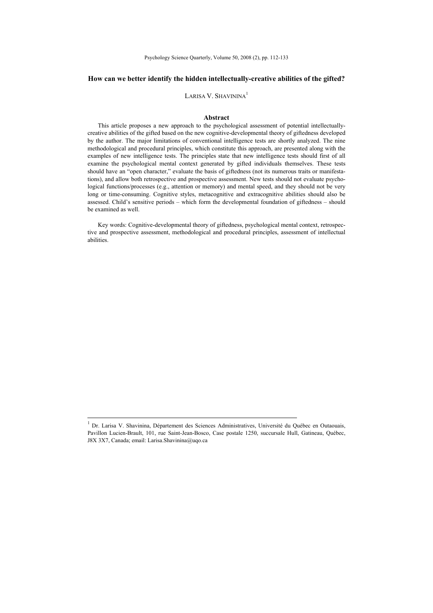LARISA V. SHAVININA<sup>1</sup>

### **Abstract**

This article proposes a new approach to the psychological assessment of potential intellectuallycreative abilities of the gifted based on the new cognitive-developmental theory of giftedness developed by the author. The major limitations of conventional intelligence tests are shortly analyzed. The nine methodological and procedural principles, which constitute this approach, are presented along with the examples of new intelligence tests. The principles state that new intelligence tests should first of all examine the psychological mental context generated by gifted individuals themselves. These tests should have an "open character," evaluate the basis of giftedness (not its numerous traits or manifestations), and allow both retrospective and prospective assessment. New tests should not evaluate psychological functions/processes (e.g., attention or memory) and mental speed, and they should not be very long or time-consuming. Cognitive styles, metacognitive and extracognitive abilities should also be assessed. Child's sensitive periods – which form the developmental foundation of giftedness – should be examined as well.

Key words: Cognitive-developmental theory of giftedness, psychological mental context, retrospective and prospective assessment, methodological and procedural principles, assessment of intellectual abilities.

 <sup>1</sup> Dr. Larisa V. Shavinina, Département des Sciences Administratives, Université du Québec en Outaouais, Pavillon Lucien-Brault, 101, rue Saint-Jean-Bosco, Case postale 1250, succursale Hull, Gatineau, Québec, J8X 3X7, Canada; email: Larisa.Shavinina@uqo.ca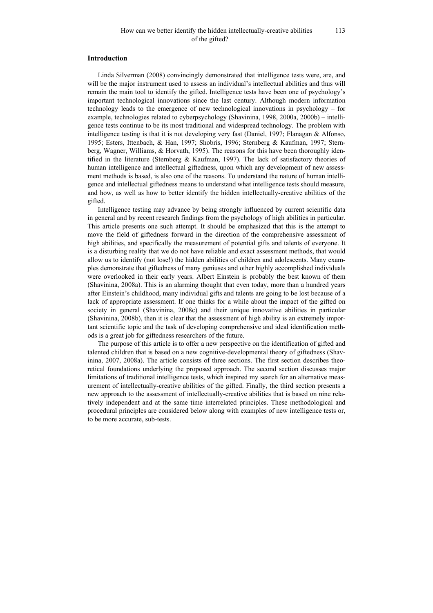Linda Silverman (2008) convincingly demonstrated that intelligence tests were, are, and will be the major instrument used to assess an individual's intellectual abilities and thus will remain the main tool to identify the gifted. Intelligence tests have been one of psychology's important technological innovations since the last century. Although modern information technology leads to the emergence of new technological innovations in psychology – for example, technologies related to cyberpsychology (Shavinina, 1998, 2000a, 2000b) – intelligence tests continue to be its most traditional and widespread technology. The problem with intelligence testing is that it is not developing very fast (Daniel, 1997; Flanagan  $\&$  Alfonso, 1995; Esters, Ittenbach, & Han, 1997; Shobris, 1996; Sternberg & Kaufman, 1997; Sternberg, Wagner, Williams, & Horvath, 1995). The reasons for this have been thoroughly identified in the literature (Sternberg & Kaufman, 1997). The lack of satisfactory theories of human intelligence and intellectual giftedness, upon which any development of new assessment methods is based, is also one of the reasons. To understand the nature of human intelligence and intellectual giftedness means to understand what intelligence tests should measure, and how, as well as how to better identify the hidden intellectually-creative abilities of the gifted.

Intelligence testing may advance by being strongly influenced by current scientific data in general and by recent research findings from the psychology of high abilities in particular. This article presents one such attempt. It should be emphasized that this is the attempt to move the field of giftedness forward in the direction of the comprehensive assessment of high abilities, and specifically the measurement of potential gifts and talents of everyone. It is a disturbing reality that we do not have reliable and exact assessment methods, that would allow us to identify (not lose!) the hidden abilities of children and adolescents. Many examples demonstrate that giftedness of many geniuses and other highly accomplished individuals were overlooked in their early years. Albert Einstein is probably the best known of them (Shavinina, 2008a). This is an alarming thought that even today, more than a hundred years after Einstein's childhood, many individual gifts and talents are going to be lost because of a lack of appropriate assessment. If one thinks for a while about the impact of the gifted on society in general (Shavinina, 2008c) and their unique innovative abilities in particular (Shavinina, 2008b), then it is clear that the assessment of high ability is an extremely important scientific topic and the task of developing comprehensive and ideal identification methods is a great job for giftedness researchers of the future.

The purpose of this article is to offer a new perspective on the identification of gifted and talented children that is based on a new cognitive-developmental theory of giftedness (Shavinina, 2007, 2008a). The article consists of three sections. The first section describes theoretical foundations underlying the proposed approach. The second section discusses major limitations of traditional intelligence tests, which inspired my search for an alternative measurement of intellectually-creative abilities of the gifted. Finally, the third section presents a new approach to the assessment of intellectually-creative abilities that is based on nine relatively independent and at the same time interrelated principles. These methodological and procedural principles are considered below along with examples of new intelligence tests or, to be more accurate, sub-tests.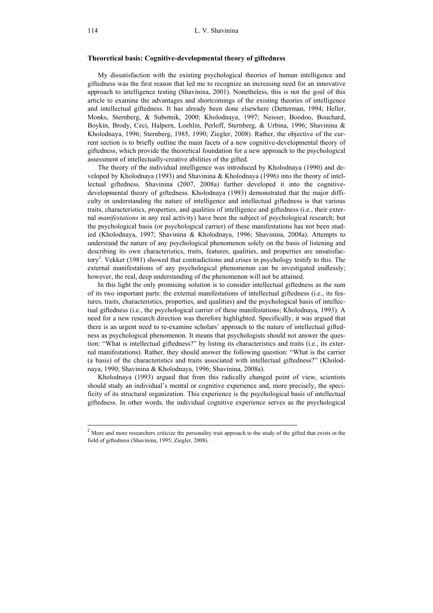## **Theoretical basis: Cognitive-developmental theory of giftedness**

My dissatisfaction with the existing psychological theories of human intelligence and giftedness was the first reason that led me to recognize an increasing need for an innovative approach to intelligence testing (Shavinina, 2001). Nonetheless, this is not the goal of this article to examine the advantages and shortcomings of the existing theories of intelligence and intellectual giftedness. It has already been done elsewhere (Detterman, 1994; Heller, Monks, Sternberg, & Subotnik, 2000; Kholodnaya, 1997; Neisser, Boodoo, Bouchard, Boykin, Brody, Ceci, Halpern, Loehlin, Perloff, Sternberg, & Urbina, 1996; Shavinina & Kholodnaya, 1996; Sternberg, 1985, 1990; Ziegler, 2008). Rather, the objective of the current section is to briefly outline the main facets of a new cognitive-developmental theory of giftedness, which provide the theoretical foundation for a new approach to the psychological assessment of intellectually-creative abilities of the gifted.

The theory of the individual intelligence was introduced by Kholodnaya (1990) and developed by Kholodnaya (1993) and Shavinina & Kholodnaya (1996) into the theory of intellectual giftedness. Shavinina (2007, 2008a) further developed it into the cognitivedevelopmental theory of giftedness. Kholodnaya (1993) demonstrated that the major difficulty in understanding the nature of intelligence and intellectual giftedness is that various traits, characteristics, properties, and qualities of intelligence and giftedness (i.e., their external *manifestations* in any real activity) have been the subject of psychological research; but the psychological basis (or psychological carrier) of these manifestations has not been studied (Kholodnaya, 1997; Shavinina & Kholodnaya, 1996; Shavinina, 2008a). Attempts to understand the nature of any psychological phenomenon solely on the basis of listening and describing its own characteristics, traits, features, qualities, and properties are unsatisfactory<sup>2</sup>. Vekker (1981) showed that contradictions and crises in psychology testify to this. The external manifestations of any psychological phenomenon can be investigated endlessly; however, the real, deep understanding of the phenomenon will not be attained.

In this light the only promising solution is to consider intellectual giftedness as the sum of its two important parts: the external manifestations of intellectual giftedness (i.e., its features, traits, characteristics, properties, and qualities) and the psychological basis of intellectual giftedness (i.e., the psychological carrier of these manifestations; Kholodnaya, 1993). A need for a new research direction was therefore highlighted. Specifically, it was argued that there is an urgent need to re-examine scholars' approach to the nature of intellectual giftedness as psychological phenomenon. It means that psychologists should not answer the question: "What is intellectual giftedness?" by listing its characteristics and traits (i.e., its external manifestations). Rather, they should answer the following question: "What is the carrier (a basis) of the characteristics and traits associated with intellectual giftedness?" (Kholodnaya, 1990; Shavinina & Kholodnaya, 1996; Shavinina, 2008a).

Kholodnaya (1993) argued that from this radically changed point of view, scientists should study an individual's mental or cognitive experience and, more precisely, the specificity of its structural organization. This experience is the psychological basis of intellectual giftedness. In other words, the individual cognitive experience serves as the psychological

<sup>&</sup>lt;sup>2</sup>  $2$  More and more researchers criticize the personality trait approach to the study of the gifted that exists in the field of giftedness (Shavinina, 1995; Ziegler, 2008).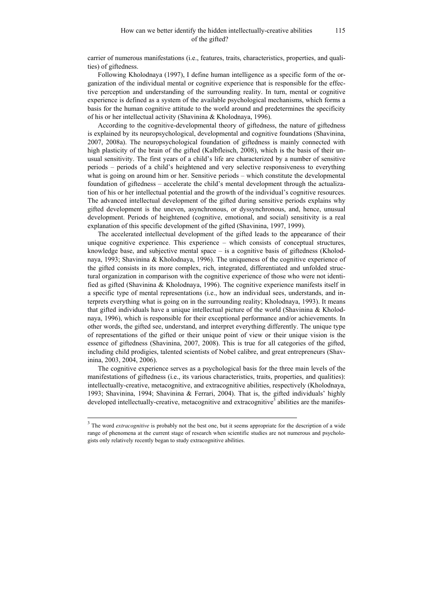carrier of numerous manifestations (i.e., features, traits, characteristics, properties, and qualities) of giftedness.

Following Kholodnaya (1997), I define human intelligence as a specific form of the organization of the individual mental or cognitive experience that is responsible for the effective perception and understanding of the surrounding reality. In turn, mental or cognitive experience is defined as a system of the available psychological mechanisms, which forms a basis for the human cognitive attitude to the world around and predetermines the specificity of his or her intellectual activity (Shavinina & Kholodnaya, 1996).

According to the cognitive-developmental theory of giftedness, the nature of giftedness is explained by its neuropsychological, developmental and cognitive foundations (Shavinina, 2007, 2008a). The neuropsychological foundation of giftedness is mainly connected with high plasticity of the brain of the gifted (Kalbfleisch, 2008), which is the basis of their unusual sensitivity. The first years of a child's life are characterized by a number of sensitive periods – periods of a child's heightened and very selective responsiveness to everything what is going on around him or her. Sensitive periods – which constitute the developmental foundation of giftedness – accelerate the child's mental development through the actualization of his or her intellectual potential and the growth of the individual's cognitive resources. The advanced intellectual development of the gifted during sensitive periods explains why gifted development is the uneven, asynchronous, or dyssynchronous, and, hence, unusual development. Periods of heightened (cognitive, emotional, and social) sensitivity is a real explanation of this specific development of the gifted (Shavinina, 1997, 1999).

The accelerated intellectual development of the gifted leads to the appearance of their unique cognitive experience. This experience – which consists of conceptual structures, knowledge base, and subjective mental space  $-$  is a cognitive basis of giftedness (Kholodnaya, 1993; Shavinina & Kholodnaya, 1996). The uniqueness of the cognitive experience of the gifted consists in its more complex, rich, integrated, differentiated and unfolded structural organization in comparison with the cognitive experience of those who were not identified as gifted (Shavinina & Kholodnaya, 1996). The cognitive experience manifests itself in a specific type of mental representations (i.e., how an individual sees, understands, and interprets everything what is going on in the surrounding reality; Kholodnaya, 1993). It means that gifted individuals have a unique intellectual picture of the world (Shavinina & Kholodnaya, 1996), which is responsible for their exceptional performance and/or achievements. In other words, the gifted see, understand, and interpret everything differently. The unique type of representations of the gifted or their unique point of view or their unique vision is the essence of giftedness (Shavinina, 2007, 2008). This is true for all categories of the gifted, including child prodigies, talented scientists of Nobel calibre, and great entrepreneurs (Shavinina, 2003, 2004, 2006).

The cognitive experience serves as a psychological basis for the three main levels of the manifestations of giftedness (i.e., its various characteristics, traits, properties, and qualities): intellectually-creative, metacognitive, and extracognitive abilities, respectively (Kholodnaya, 1993; Shavinina, 1994; Shavinina & Ferrari, 2004). That is, the gifted individuals' highly developed intellectually-creative, metacognitive and extracognitive<sup>3</sup> abilities are the manifes-

 <sup>3</sup> <sup>3</sup> The word *extracognitive* is probably not the best one, but it seems appropriate for the description of a wide range of phenomena at the current stage of research when scientific studies are not numerous and psychologists only relatively recently began to study extracognitive abilities.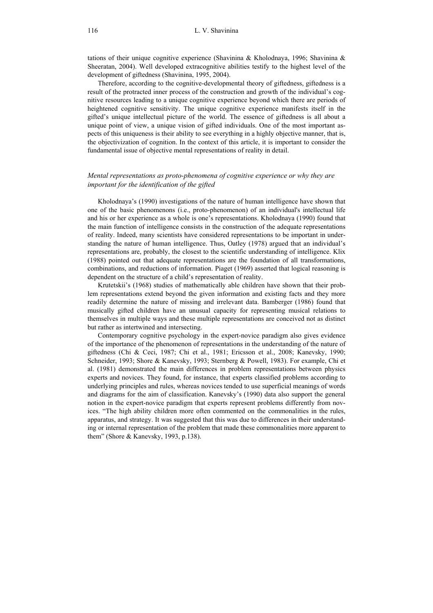tations of their unique cognitive experience (Shavinina & Kholodnaya, 1996; Shavinina & Sheeratan, 2004). Well developed extracognitive abilities testify to the highest level of the development of giftedness (Shavinina, 1995, 2004).

Therefore, according to the cognitive-developmental theory of giftedness, giftedness is a result of the protracted inner process of the construction and growth of the individual's cognitive resources leading to a unique cognitive experience beyond which there are periods of heightened cognitive sensitivity. The unique cognitive experience manifests itself in the gifted's unique intellectual picture of the world. The essence of giftedness is all about a unique point of view, a unique vision of gifted individuals. One of the most important aspects of this uniqueness is their ability to see everything in a highly objective manner, that is, the objectivization of cognition. In the context of this article, it is important to consider the fundamental issue of objective mental representations of reality in detail.

# *Mental representations as proto-phenomena of cognitive experience or why they are important for the identification of the gifted*

Kholodnaya's (1990) investigations of the nature of human intelligence have shown that one of the basic phenomenons (i.e., proto-phenomenon) of an individual's intellectual life and his or her experience as a whole is one's representations. Kholodnaya (1990) found that the main function of intelligence consists in the construction of the adequate representations of reality. Indeed, many scientists have considered representations to be important in understanding the nature of human intelligence. Thus, Oatley (1978) argued that an individual's representations are, probably, the closest to the scientific understanding of intelligence. Klix (1988) pointed out that adequate representations are the foundation of all transformations, combinations, and reductions of information. Piaget (1969) asserted that logical reasoning is dependent on the structure of a child's representation of reality.

Krutetskii's (1968) studies of mathematically able children have shown that their problem representations extend beyond the given information and existing facts and they more readily determine the nature of missing and irrelevant data. Bamberger (1986) found that musically gifted children have an unusual capacity for representing musical relations to themselves in multiple ways and these multiple representations are conceived not as distinct but rather as intertwined and intersecting.

Contemporary cognitive psychology in the expert-novice paradigm also gives evidence of the importance of the phenomenon of representations in the understanding of the nature of giftedness (Chi & Ceci, 1987; Chi et al., 1981; Ericsson et al., 2008; Kanevsky, 1990; Schneider, 1993; Shore & Kanevsky, 1993; Sternberg & Powell, 1983). For example, Chi et al. (1981) demonstrated the main differences in problem representations between physics experts and novices. They found, for instance, that experts classified problems according to underlying principles and rules, whereas novices tended to use superficial meanings of words and diagrams for the aim of classification. Kanevsky's (1990) data also support the general notion in the expert-novice paradigm that experts represent problems differently from novices. "The high ability children more often commented on the commonalities in the rules, apparatus, and strategy. It was suggested that this was due to differences in their understanding or internal representation of the problem that made these commonalities more apparent to them" (Shore & Kanevsky, 1993, p.138).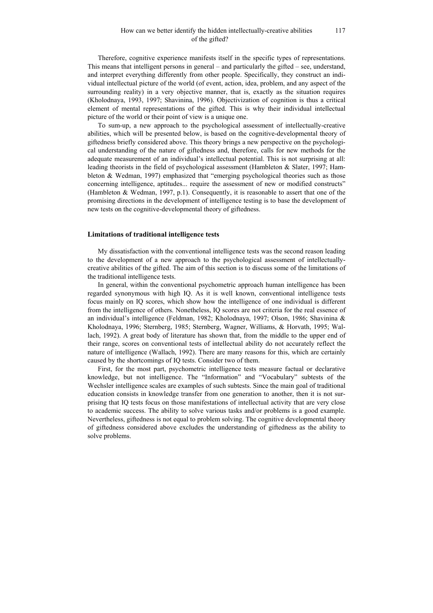Therefore, cognitive experience manifests itself in the specific types of representations. This means that intelligent persons in general – and particularly the gifted – see, understand, and interpret everything differently from other people. Specifically, they construct an individual intellectual picture of the world (of event, action, idea, problem, and any aspect of the surrounding reality) in a very objective manner, that is, exactly as the situation requires (Kholodnaya, 1993, 1997; Shavinina, 1996). Objectivization of cognition is thus a critical element of mental representations of the gifted. This is why their individual intellectual picture of the world or their point of view is a unique one.

To sum-up, a new approach to the psychological assessment of intellectually-creative abilities, which will be presented below, is based on the cognitive-developmental theory of giftedness briefly considered above. This theory brings a new perspective on the psychological understanding of the nature of giftedness and, therefore, calls for new methods for the adequate measurement of an individual's intellectual potential. This is not surprising at all: leading theorists in the field of psychological assessment (Hambleton & Slater, 1997; Hambleton & Wedman, 1997) emphasized that "emerging psychological theories such as those concerning intelligence, aptitudes... require the assessment of new or modified constructs" (Hambleton & Wedman, 1997, p.1). Consequently, it is reasonable to assert that one of the promising directions in the development of intelligence testing is to base the development of new tests on the cognitive-developmental theory of giftedness.

### **Limitations of traditional intelligence tests**

My dissatisfaction with the conventional intelligence tests was the second reason leading to the development of a new approach to the psychological assessment of intellectuallycreative abilities of the gifted. The aim of this section is to discuss some of the limitations of the traditional intelligence tests.

In general, within the conventional psychometric approach human intelligence has been regarded synonymous with high IQ. As it is well known, conventional intelligence tests focus mainly on IQ scores, which show how the intelligence of one individual is different from the intelligence of others. Nonetheless, IQ scores are not criteria for the real essence of an individual's intelligence (Feldman, 1982; Kholodnaya, 1997; Olson, 1986; Shavinina & Kholodnaya, 1996; Sternberg, 1985; Sternberg, Wagner, Williams, & Horvath, 1995; Wallach, 1992). A great body of literature has shown that, from the middle to the upper end of their range, scores on conventional tests of intellectual ability do not accurately reflect the nature of intelligence (Wallach, 1992). There are many reasons for this, which are certainly caused by the shortcomings of IQ tests. Consider two of them.

First, for the most part, psychometric intelligence tests measure factual or declarative knowledge, but not intelligence. The "Information" and "Vocabulary" subtests of the Wechsler intelligence scales are examples of such subtests. Since the main goal of traditional education consists in knowledge transfer from one generation to another, then it is not surprising that IQ tests focus on those manifestations of intellectual activity that are very close to academic success. The ability to solve various tasks and/or problems is a good example. Nevertheless, giftedness is not equal to problem solving. The cognitive developmental theory of giftedness considered above excludes the understanding of giftedness as the ability to solve problems.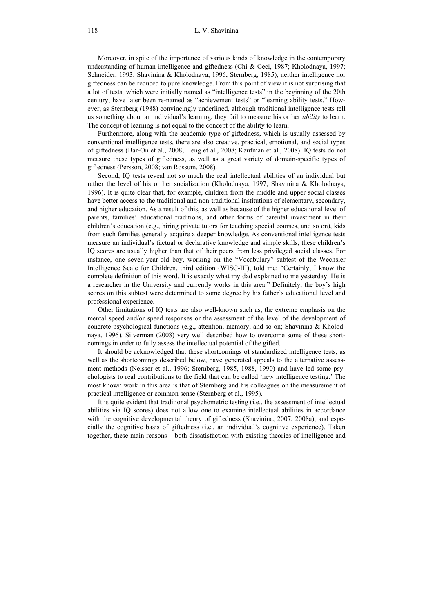Moreover, in spite of the importance of various kinds of knowledge in the contemporary understanding of human intelligence and giftedness (Chi & Ceci, 1987; Kholodnaya, 1997; Schneider, 1993; Shavinina & Kholodnaya, 1996; Sternberg, 1985), neither intelligence nor giftedness can be reduced to pure knowledge. From this point of view it is not surprising that a lot of tests, which were initially named as "intelligence tests" in the beginning of the 20th century, have later been re-named as "achievement tests" or "learning ability tests." However, as Sternberg (1988) convincingly underlined, although traditional intelligence tests tell us something about an individual's learning, they fail to measure his or her *ability* to learn. The concept of learning is not equal to the concept of the ability to learn.

Furthermore, along with the academic type of giftedness, which is usually assessed by conventional intelligence tests, there are also creative, practical, emotional, and social types of giftedness (Bar-On et al., 2008; Heng et al., 2008; Kaufman et al., 2008). IQ tests do not measure these types of giftedness, as well as a great variety of domain-specific types of giftedness (Persson, 2008; van Rossum, 2008).

Second, IQ tests reveal not so much the real intellectual abilities of an individual but rather the level of his or her socialization (Kholodnaya, 1997; Shavinina & Kholodnaya, 1996). It is quite clear that, for example, children from the middle and upper social classes have better access to the traditional and non-traditional institutions of elementary, secondary, and higher education. As a result of this, as well as because of the higher educational level of parents, families' educational traditions, and other forms of parental investment in their children's education (e.g., hiring private tutors for teaching special courses, and so on), kids from such families generally acquire a deeper knowledge. As conventional intelligence tests measure an individual's factual or declarative knowledge and simple skills, these children's IQ scores are usually higher than that of their peers from less privileged social classes. For instance, one seven-year-old boy, working on the "Vocabulary" subtest of the Wechsler Intelligence Scale for Children, third edition (WISC-III), told me: "Certainly, I know the complete definition of this word. It is exactly what my dad explained to me yesterday. He is a researcher in the University and currently works in this area." Definitely, the boy's high scores on this subtest were determined to some degree by his father's educational level and professional experience.

Other limitations of IQ tests are also well-known such as, the extreme emphasis on the mental speed and/or speed responses or the assessment of the level of the development of concrete psychological functions (e.g., attention, memory, and so on; Shavinina  $\&$  Kholodnaya, 1996). Silverman (2008) very well described how to overcome some of these shortcomings in order to fully assess the intellectual potential of the gifted.

It should be acknowledged that these shortcomings of standardized intelligence tests, as well as the shortcomings described below, have generated appeals to the alternative assessment methods (Neisser et al., 1996; Sternberg, 1985, 1988, 1990) and have led some psychologists to real contributions to the field that can be called 'new intelligence testing.' The most known work in this area is that of Sternberg and his colleagues on the measurement of practical intelligence or common sense (Sternberg et al., 1995).

It is quite evident that traditional psychometric testing (i.e., the assessment of intellectual abilities via IQ scores) does not allow one to examine intellectual abilities in accordance with the cognitive developmental theory of giftedness (Shavinina, 2007, 2008a), and especially the cognitive basis of giftedness (i.e., an individual's cognitive experience). Taken together, these main reasons – both dissatisfaction with existing theories of intelligence and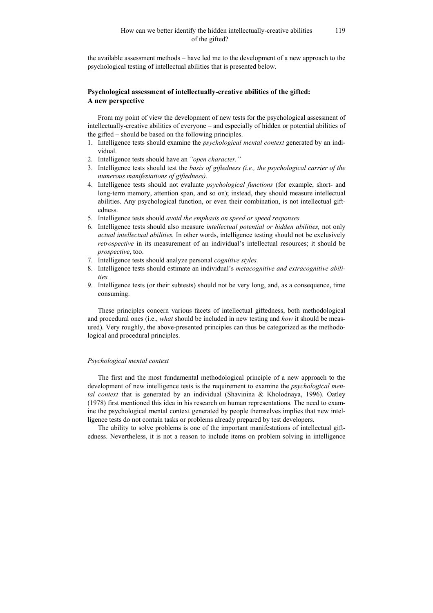the available assessment methods – have led me to the development of a new approach to the psychological testing of intellectual abilities that is presented below.

# **Psychological assessment of intellectually-creative abilities of the gifted: A new perspective**

From my point of view the development of new tests for the psychological assessment of intellectually-creative abilities of everyone – and especially of hidden or potential abilities of the gifted – should be based on the following principles.

- 1. Intelligence tests should examine the *psychological mental context* generated by an individual.
- 2. Intelligence tests should have an *"open character."*
- 3. Intelligence tests should test the *basis of giftedness (i.e., the psychological carrier of the numerous manifestations of giftedness).*
- 4. Intelligence tests should not evaluate *psychological functions* (for example, short- and long-term memory, attention span, and so on); instead, they should measure intellectual abilities. Any psychological function, or even their combination, is not intellectual giftedness.
- 5. Intelligence tests should *avoid the emphasis on speed or speed responses.*
- 6. Intelligence tests should also measure *intellectual potential or hidden abilities,* not only *actual intellectual abilities.* In other words, intelligence testing should not be exclusively *retrospective* in its measurement of an individual's intellectual resources: it should be *prospective*, too.
- 7. Intelligence tests should analyze personal *cognitive styles.*
- 8. Intelligence tests should estimate an individual's *metacognitive and extracognitive abilities.*
- 9. Intelligence tests (or their subtests) should not be very long, and, as a consequence, time consuming.

These principles concern various facets of intellectual giftedness, both methodological and procedural ones (i.e., *what* should be included in new testing and *how* it should be measured). Very roughly, the above-presented principles can thus be categorized as the methodological and procedural principles.

#### *Psychological mental context*

The first and the most fundamental methodological principle of a new approach to the development of new intelligence tests is the requirement to examine the *psychological mental context* that is generated by an individual (Shavinina & Kholodnaya, 1996). Oatley (1978) first mentioned this idea in his research on human representations. The need to examine the psychological mental context generated by people themselves implies that new intelligence tests do not contain tasks or problems already prepared by test developers.

The ability to solve problems is one of the important manifestations of intellectual giftedness. Nevertheless, it is not a reason to include items on problem solving in intelligence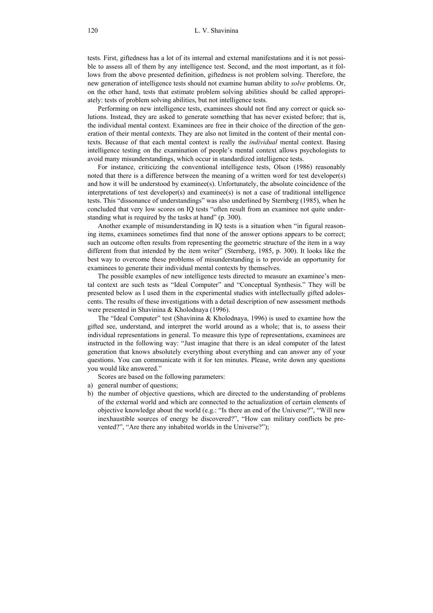tests. First, giftedness has a lot of its internal and external manifestations and it is not possible to assess all of them by any intelligence test. Second, and the most important, as it follows from the above presented definition, giftedness is not problem solving. Therefore, the new generation of intelligence tests should not examine human ability to *solve* problems. Or, on the other hand, tests that estimate problem solving abilities should be called appropriately: tests of problem solving abilities, but not intelligence tests.

Performing on new intelligence tests, examinees should not find any correct or quick solutions. Instead, they are asked to generate something that has never existed before; that is, the individual mental context. Examinees are free in their choice of the direction of the generation of their mental contexts. They are also not limited in the content of their mental contexts. Because of that each mental context is really the *individual* mental context. Basing intelligence testing on the examination of people's mental context allows psychologists to avoid many misunderstandings, which occur in standardized intelligence tests.

For instance, criticizing the conventional intelligence tests, Olson (1986) reasonably noted that there is a difference between the meaning of a written word for test developer(s) and how it will be understood by examinee(s). Unfortunately, the absolute coincidence of the interpretations of test developer(s) and examinee(s) is not a case of traditional intelligence tests. This "dissonance of understandings" was also underlined by Sternberg (1985), when he concluded that very low scores on IQ tests "often result from an examinee not quite understanding what is required by the tasks at hand" (p. 300).

Another example of misunderstanding in IQ tests is a situation when "in figural reasoning items, examinees sometimes find that none of the answer options appears to be correct; such an outcome often results from representing the geometric structure of the item in a way different from that intended by the item writer" (Sternberg, 1985, p. 300). It looks like the best way to overcome these problems of misunderstanding is to provide an opportunity for examinees to generate their individual mental contexts by themselves.

The possible examples of new intelligence tests directed to measure an examinee's mental context are such tests as "Ideal Computer" and "Conceptual Synthesis." They will be presented below as I used them in the experimental studies with intellectually gifted adolescents. The results of these investigations with a detail description of new assessment methods were presented in Shavinina & Kholodnaya (1996).

The "Ideal Computer" test (Shavinina & Kholodnaya, 1996) is used to examine how the gifted see, understand, and interpret the world around as a whole; that is, to assess their individual representations in general. To measure this type of representations, examinees are instructed in the following way: "Just imagine that there is an ideal computer of the latest generation that knows absolutely everything about everything and can answer any of your questions. You can communicate with it for ten minutes. Please, write down any questions you would like answered."

Scores are based on the following parameters:

- a) general number of questions;
- b) the number of objective questions, which are directed to the understanding of problems of the external world and which are connected to the actualization of certain elements of objective knowledge about the world (e.g.: "Is there an end of the Universe?", "Will new inexhaustible sources of energy be discovered?", "How can military conflicts be prevented?", "Are there any inhabited worlds in the Universe?");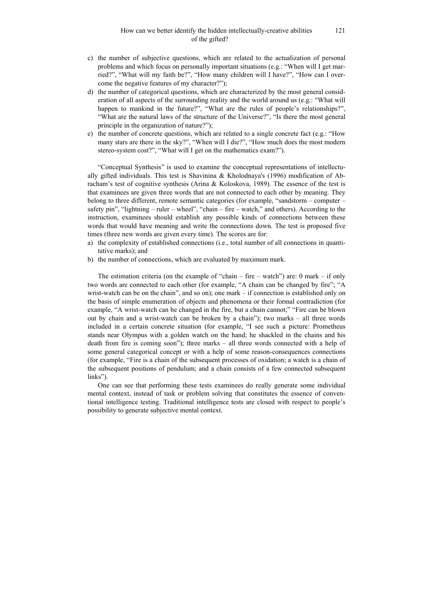- c) the number of subjective questions, which are related to the actualization of personal problems and which focus on personally important situations (e.g.: "When will I get married?", "What will my faith be?", "How many children will I have?", "How can I overcome the negative features of my character?");
- d) the number of categorical questions, which are characterized by the most general consideration of all aspects of the surrounding reality and the world around us (e.g.: "What will happen to mankind in the future?", "What are the rules of people's relationships?", "What are the natural laws of the structure of the Universe?", "Is there the most general principle in the organization of nature?");
- e) the number of concrete questions, which are related to a single concrete fact (e.g.: "How many stars are there in the sky?", "When will I die?", "How much does the most modern stereo-system cost?", "What will I get on the mathematics exam?").

"Conceptual Synthesis" is used to examine the conceptual representations of intellectually gifted individuals. This test is Shavinina & Kholodnaya's (1996) modification of Abracham's test of cognitive synthesis (Arina & Koloskova, 1989). The essence of the test is that examinees are given three words that are not connected to each other by meaning. They belong to three different, remote semantic categories (for example, "sandstorm – computer – safety pin", "lightning – ruler – wheel", "chain – fire – watch," and others). According to the instruction, examinees should establish any possible kinds of connections between these words that would have meaning and write the connections down. The test is proposed five times (three new words are given every time). The scores are for:

- a) the complexity of established connections (i.e., total number of all connections in quantitative marks); and
- b) the number of connections, which are evaluated by maximum mark.

The estimation criteria (on the example of "chain – fire – watch") are: 0 mark – if only two words are connected to each other (for example, "A chain can be changed by fire"; "A wrist-watch can be on the chain", and so on); one mark – if connection is established only on the basis of simple enumeration of objects and phenomena or their formal contradiction (for example, "A wrist-watch can be changed in the fire, but a chain cannot;" "Fire can be blown out by chain and a wrist-watch can be broken by a chain"); two marks – all three words included in a certain concrete situation (for example, "I see such a picture: Prometheus stands near Olympus with a golden watch on the hand; he shackled in the chains and his death from fire is coming soon"); three marks – all three words connected with a help of some general categorical concept or with a help of some reason-consequences connections (for example, "Fire is a chain of the subsequent processes of oxidation; a watch is a chain of the subsequent positions of pendulum; and a chain consists of a few connected subsequent links").

One can see that performing these tests examinees do really generate some individual mental context, instead of task or problem solving that constitutes the essence of conventional intelligence testing. Traditional intelligence tests are closed with respect to people's possibility to generate subjective mental context.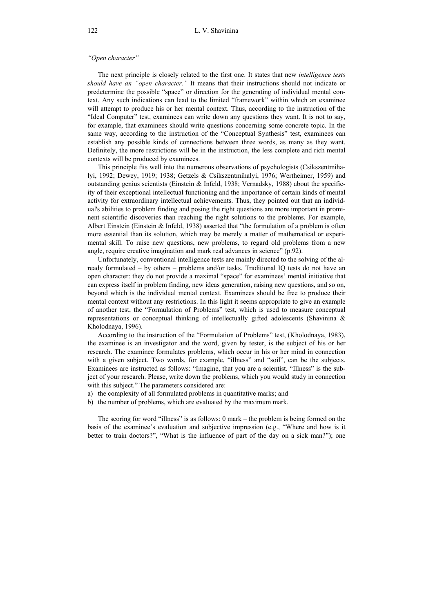## *"Open character"*

The next principle is closely related to the first one. It states that new *intelligence tests should have an "open character."* It means that their instructions should not indicate or predetermine the possible "space" or direction for the generating of individual mental context. Any such indications can lead to the limited "framework" within which an examinee will attempt to produce his or her mental context. Thus, according to the instruction of the "Ideal Computer" test, examinees can write down any questions they want. It is not to say, for example, that examinees should write questions concerning some concrete topic. In the same way, according to the instruction of the "Conceptual Synthesis" test, examinees can establish any possible kinds of connections between three words, as many as they want. Definitely, the more restrictions will be in the instruction, the less complete and rich mental contexts will be produced by examinees.

This principle fits well into the numerous observations of psychologists (Csikszentmihalyi, 1992; Dewey, 1919; 1938; Getzels & Csikszentmihalyi, 1976; Wertheimer, 1959) and outstanding genius scientists (Einstein & Infeld, 1938; Vernadsky, 1988) about the specificity of their exceptional intellectual functioning and the importance of certain kinds of mental activity for extraordinary intellectual achievements. Thus, they pointed out that an individual's abilities to problem finding and posing the right questions are more important in prominent scientific discoveries than reaching the right solutions to the problems. For example, Albert Einstein (Einstein & Infeld, 1938) asserted that "the formulation of a problem is often more essential than its solution, which may be merely a matter of mathematical or experimental skill. To raise new questions, new problems, to regard old problems from a new angle, require creative imagination and mark real advances in science" (p.92).

Unfortunately, conventional intelligence tests are mainly directed to the solving of the already formulated – by others – problems and/or tasks. Traditional IQ tests do not have an open character: they do not provide a maximal "space" for examinees' mental initiative that can express itself in problem finding, new ideas generation, raising new questions, and so on, beyond which is the individual mental context. Examinees should be free to produce their mental context without any restrictions. In this light it seems appropriate to give an example of another test, the "Formulation of Problems" test, which is used to measure conceptual representations or conceptual thinking of intellectually gifted adolescents (Shavinina & Kholodnaya, 1996).

According to the instruction of the "Formulation of Problems" test, (Kholodnaya, 1983), the examinee is an investigator and the word, given by tester, is the subject of his or her research. The examinee formulates problems, which occur in his or her mind in connection with a given subject. Two words, for example, "illness" and "soil", can be the subjects. Examinees are instructed as follows: "Imagine, that you are a scientist. "Illness" is the subject of your research. Please, write down the problems, which you would study in connection with this subject." The parameters considered are:

- a) the complexity of all formulated problems in quantitative marks; and
- b) the number of problems, which are evaluated by the maximum mark.

The scoring for word "illness" is as follows: 0 mark – the problem is being formed on the basis of the examinee's evaluation and subjective impression (e.g., "Where and how is it better to train doctors?", "What is the influence of part of the day on a sick man?"); one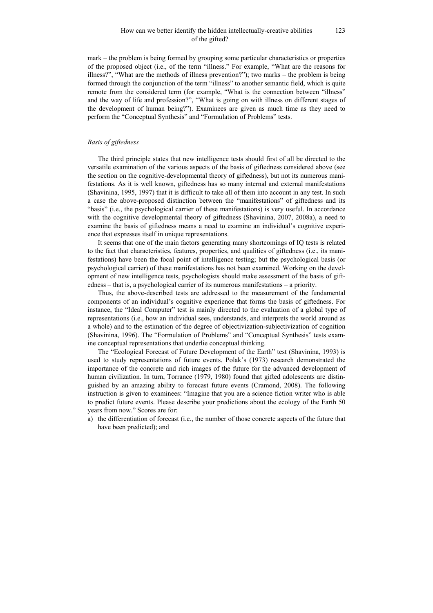mark – the problem is being formed by grouping some particular characteristics or properties of the proposed object (i.e., of the term "illness." For example, "What are the reasons for illness?", "What are the methods of illness prevention?"); two marks – the problem is being formed through the conjunction of the term "illness" to another semantic field, which is quite remote from the considered term (for example, "What is the connection between "illness" and the way of life and profession?", "What is going on with illness on different stages of the development of human being?"). Examinees are given as much time as they need to perform the "Conceptual Synthesis" and "Formulation of Problems" tests.

#### *Basis of giftedness*

The third principle states that new intelligence tests should first of all be directed to the versatile examination of the various aspects of the basis of giftedness considered above (see the section on the cognitive-developmental theory of giftedness), but not its numerous manifestations. As it is well known, giftedness has so many internal and external manifestations (Shavinina, 1995, 1997) that it is difficult to take all of them into account in any test. In such a case the above-proposed distinction between the "manifestations" of giftedness and its "basis" (i.e., the psychological carrier of these manifestations) is very useful. In accordance with the cognitive developmental theory of giftedness (Shavinina, 2007, 2008a), a need to examine the basis of giftedness means a need to examine an individual's cognitive experience that expresses itself in unique representations.

It seems that one of the main factors generating many shortcomings of IQ tests is related to the fact that characteristics, features, properties, and qualities of giftedness (i.e., its manifestations) have been the focal point of intelligence testing; but the psychological basis (or psychological carrier) of these manifestations has not been examined. Working on the development of new intelligence tests, psychologists should make assessment of the basis of giftedness – that is, a psychological carrier of its numerous manifestations – a priority.

Thus, the above-described tests are addressed to the measurement of the fundamental components of an individual's cognitive experience that forms the basis of giftedness. For instance, the "Ideal Computer" test is mainly directed to the evaluation of a global type of representations (i.e., how an individual sees, understands, and interprets the world around as a whole) and to the estimation of the degree of objectivization-subjectivization of cognition (Shavinina, 1996). The "Formulation of Problems" and "Conceptual Synthesis" tests examine conceptual representations that underlie conceptual thinking.

The "Ecological Forecast of Future Development of the Earth" test (Shavinina, 1993) is used to study representations of future events. Polak's (1973) research demonstrated the importance of the concrete and rich images of the future for the advanced development of human civilization. In turn, Torrance (1979, 1980) found that gifted adolescents are distinguished by an amazing ability to forecast future events (Cramond, 2008). The following instruction is given to examinees: "Imagine that you are a science fiction writer who is able to predict future events. Please describe your predictions about the ecology of the Earth 50 years from now." Scores are for:

a) the differentiation of forecast (i.e., the number of those concrete aspects of the future that have been predicted); and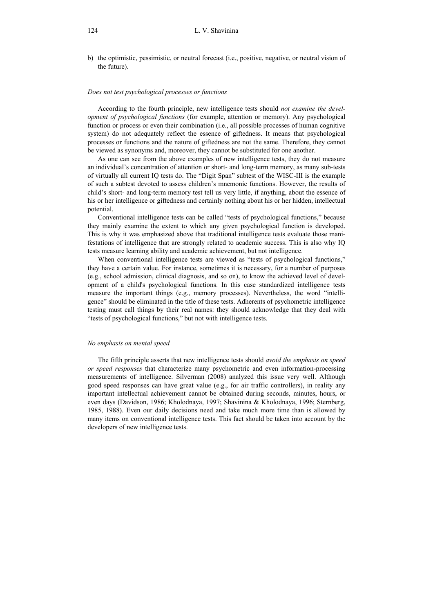b) the optimistic, pessimistic, or neutral forecast (i.e., positive, negative, or neutral vision of the future).

#### *Does not test psychological processes or functions*

According to the fourth principle, new intelligence tests should *not examine the development of psychological functions* (for example, attention or memory). Any psychological function or process or even their combination (i.e., all possible processes of human cognitive system) do not adequately reflect the essence of giftedness. It means that psychological processes or functions and the nature of giftedness are not the same. Therefore, they cannot be viewed as synonyms and, moreover, they cannot be substituted for one another.

As one can see from the above examples of new intelligence tests, they do not measure an individual's concentration of attention or short- and long-term memory, as many sub-tests of virtually all current IQ tests do. The "Digit Span" subtest of the WISC-III is the example of such a subtest devoted to assess children's mnemonic functions. However, the results of child's short- and long-term memory test tell us very little, if anything, about the essence of his or her intelligence or giftedness and certainly nothing about his or her hidden, intellectual potential.

Conventional intelligence tests can be called "tests of psychological functions," because they mainly examine the extent to which any given psychological function is developed. This is why it was emphasized above that traditional intelligence tests evaluate those manifestations of intelligence that are strongly related to academic success. This is also why IQ tests measure learning ability and academic achievement, but not intelligence.

When conventional intelligence tests are viewed as "tests of psychological functions," they have a certain value. For instance, sometimes it is necessary, for a number of purposes (e.g., school admission, clinical diagnosis, and so on), to know the achieved level of development of a child's psychological functions. In this case standardized intelligence tests measure the important things (e.g., memory processes). Nevertheless, the word "intelligence" should be eliminated in the title of these tests. Adherents of psychometric intelligence testing must call things by their real names: they should acknowledge that they deal with "tests of psychological functions," but not with intelligence tests.

#### *No emphasis on mental speed*

The fifth principle asserts that new intelligence tests should *avoid the emphasis on speed or speed responses* that characterize many psychometric and even information-processing measurements of intelligence. Silverman (2008) analyzed this issue very well. Although good speed responses can have great value (e.g., for air traffic controllers), in reality any important intellectual achievement cannot be obtained during seconds, minutes, hours, or even days (Davidson, 1986; Kholodnaya, 1997; Shavinina & Kholodnaya, 1996; Sternberg, 1985, 1988). Even our daily decisions need and take much more time than is allowed by many items on conventional intelligence tests. This fact should be taken into account by the developers of new intelligence tests.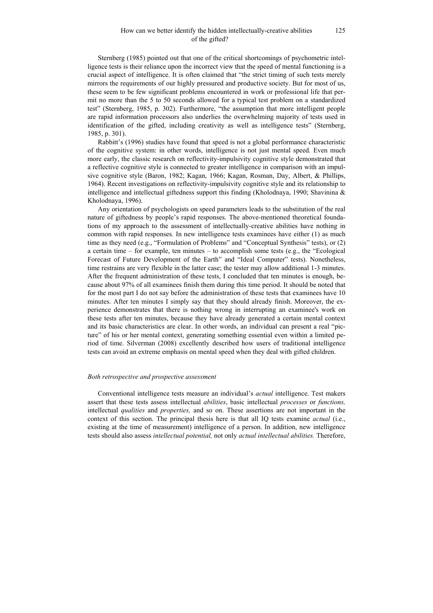Sternberg (1985) pointed out that one of the critical shortcomings of psychometric intelligence tests is their reliance upon the incorrect view that the speed of mental functioning is a crucial aspect of intelligence. It is often claimed that "the strict timing of such tests merely mirrors the requirements of our highly pressured and productive society. But for most of us, these seem to be few significant problems encountered in work or professional life that permit no more than the 5 to 50 seconds allowed for a typical test problem on a standardized test" (Sternberg, 1985, p. 302). Furthermore, "the assumption that more intelligent people are rapid information processors also underlies the overwhelming majority of tests used in identification of the gifted, including creativity as well as intelligence tests" (Sternberg, 1985, p. 301).

Rabbitt's (1996) studies have found that speed is not a global performance characteristic of the cognitive system: in other words, intelligence is not just mental speed. Even much more early, the classic research on reflectivity-impulsivity cognitive style demonstrated that a reflective cognitive style is connected to greater intelligence in comparison with an impulsive cognitive style (Baron, 1982; Kagan, 1966; Kagan, Rosman, Day, Albert, & Phillips, 1964). Recent investigations on reflectivity-impulsivity cognitive style and its relationship to intelligence and intellectual giftedness support this finding (Kholodnaya, 1990; Shavinina & Kholodnaya, 1996).

Any orientation of psychologists on speed parameters leads to the substitution of the real nature of giftedness by people's rapid responses. The above-mentioned theoretical foundations of my approach to the assessment of intellectually-creative abilities have nothing in common with rapid responses. In new intelligence tests examinees have either (1) as much time as they need (e.g., "Formulation of Problems" and "Conceptual Synthesis" tests), or  $(2)$ a certain time – for example, ten minutes – to accomplish some tests (e.g., the "Ecological Forecast of Future Development of the Earth" and "Ideal Computer" tests). Nonetheless, time restrains are very flexible in the latter case; the tester may allow additional 1-3 minutes. After the frequent administration of these tests, I concluded that ten minutes is enough, because about 97% of all examinees finish them during this time period. It should be noted that for the most part I do not say before the administration of these tests that examinees have 10 minutes. After ten minutes I simply say that they should already finish. Moreover, the experience demonstrates that there is nothing wrong in interrupting an examinee's work on these tests after ten minutes, because they have already generated a certain mental context and its basic characteristics are clear. In other words, an individual can present a real "picture" of his or her mental context, generating something essential even within a limited period of time. Silverman (2008) excellently described how users of traditional intelligence tests can avoid an extreme emphasis on mental speed when they deal with gifted children.

#### *Both retrospective and prospective assessment*

Conventional intelligence tests measure an individual's *actual* intelligence. Test makers assert that these tests assess intellectual *abilities*, basic intellectual *processes* or *functions,* intellectual *qualities* and *properties,* and so on. These assertions are not important in the context of this section. The principal thesis here is that all IQ tests examine *actual* (i.e., existing at the time of measurement) intelligence of a person. In addition, new intelligence tests should also assess *intellectual potential,* not only *actual intellectual abilities.* Therefore,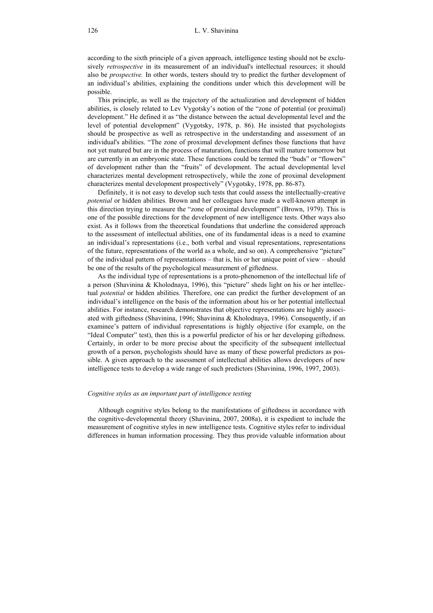according to the sixth principle of a given approach, intelligence testing should not be exclusively *retrospective* in its measurement of an individual's intellectual resources; it should also be *prospective.* In other words, testers should try to predict the further development of an individual's abilities, explaining the conditions under which this development will be possible.

This principle, as well as the trajectory of the actualization and development of hidden abilities, is closely related to Lev Vygotsky's notion of the "zone of potential (or proximal) development." He defined it as "the distance between the actual developmental level and the level of potential development" (Vygotsky, 1978, p. 86). He insisted that psychologists should be prospective as well as retrospective in the understanding and assessment of an individual's abilities. "The zone of proximal development defines those functions that have not yet matured but are in the process of maturation, functions that will mature tomorrow but are currently in an embryonic state. These functions could be termed the "buds" or "flowers" of development rather than the "fruits" of development. The actual developmental level characterizes mental development retrospectively, while the zone of proximal development characterizes mental development prospectively" (Vygotsky, 1978, pp. 86-87).

Definitely, it is not easy to develop such tests that could assess the intellectually-creative *potential* or hidden abilities*.* Brown and her colleagues have made a well-known attempt in this direction trying to measure the "zone of proximal development" (Brown, 1979). This is one of the possible directions for the development of new intelligence tests. Other ways also exist. As it follows from the theoretical foundations that underline the considered approach to the assessment of intellectual abilities, one of its fundamental ideas is a need to examine an individual's representations (i.e., both verbal and visual representations, representations of the future, representations of the world as a whole, and so on). A comprehensive "picture" of the individual pattern of representations – that is, his or her unique point of view – should be one of the results of the psychological measurement of giftedness.

As the individual type of representations is a proto-phenomenon of the intellectual life of a person (Shavinina & Kholodnaya, 1996), this "picture" sheds light on his or her intellectual *potential* or hidden abilities*.* Therefore, one can predict the further development of an individual's intelligence on the basis of the information about his or her potential intellectual abilities. For instance, research demonstrates that objective representations are highly associated with giftedness (Shavinina, 1996; Shavinina & Kholodnaya, 1996). Consequently, if an examinee's pattern of individual representations is highly objective (for example, on the "Ideal Computer" test), then this is a powerful predictor of his or her developing giftedness. Certainly, in order to be more precise about the specificity of the subsequent intellectual growth of a person, psychologists should have as many of these powerful predictors as possible. A given approach to the assessment of intellectual abilities allows developers of new intelligence tests to develop a wide range of such predictors (Shavinina, 1996, 1997, 2003).

#### *Cognitive styles as an important part of intelligence testing*

Although cognitive styles belong to the manifestations of giftedness in accordance with the cognitive-developmental theory (Shavinina, 2007, 2008a), it is expedient to include the measurement of cognitive styles in new intelligence tests. Cognitive styles refer to individual differences in human information processing. They thus provide valuable information about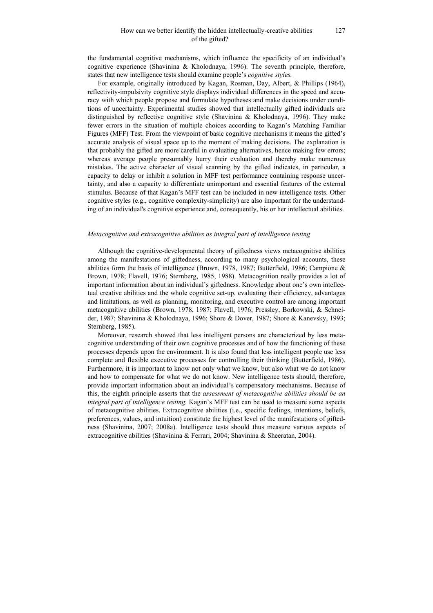the fundamental cognitive mechanisms, which influence the specificity of an individual's cognitive experience (Shavinina & Kholodnaya, 1996). The seventh principle, therefore, states that new intelligence tests should examine people's *cognitive styles.* 

For example, originally introduced by Kagan, Rosman, Day, Albert, & Phillips (1964), reflectivity-impulsivity cognitive style displays individual differences in the speed and accuracy with which people propose and formulate hypotheses and make decisions under conditions of uncertainty. Experimental studies showed that intellectually gifted individuals are distinguished by reflective cognitive style (Shavinina  $\&$  Kholodnaya, 1996). They make fewer errors in the situation of multiple choices according to Kagan's Matching Familiar Figures (MFF) Test. From the viewpoint of basic cognitive mechanisms it means the gifted's accurate analysis of visual space up to the moment of making decisions. The explanation is that probably the gifted are more careful in evaluating alternatives, hence making few errors; whereas average people presumably hurry their evaluation and thereby make numerous mistakes. The active character of visual scanning by the gifted indicates, in particular, a capacity to delay or inhibit a solution in MFF test performance containing response uncertainty, and also a capacity to differentiate unimportant and essential features of the external stimulus. Because of that Kagan's MFF test can be included in new intelligence tests. Other cognitive styles (e.g., cognitive complexity-simplicity) are also important for the understanding of an individual's cognitive experience and, consequently, his or her intellectual abilities.

# *Metacognitive and extracognitive abilities as integral part of intelligence testing*

Although the cognitive-developmental theory of giftedness views metacognitive abilities among the manifestations of giftedness, according to many psychological accounts, these abilities form the basis of intelligence (Brown, 1978, 1987; Butterfield, 1986; Campione & Brown, 1978; Flavell, 1976; Sternberg, 1985, 1988). Metacognition really provides a lot of important information about an individual's giftedness. Knowledge about one's own intellectual creative abilities and the whole cognitive set-up, evaluating their efficiency, advantages and limitations, as well as planning, monitoring, and executive control are among important metacognitive abilities (Brown, 1978, 1987; Flavell, 1976; Pressley, Borkowski, & Schneider, 1987; Shavinina & Kholodnaya, 1996; Shore & Dover, 1987; Shore & Kanevsky, 1993; Sternberg, 1985).

Moreover, research showed that less intelligent persons are characterized by less metacognitive understanding of their own cognitive processes and of how the functioning of these processes depends upon the environment. It is also found that less intelligent people use less complete and flexible executive processes for controlling their thinking (Butterfield, 1986). Furthermore, it is important to know not only what we know, but also what we do not know and how to compensate for what we do not know. New intelligence tests should, therefore, provide important information about an individual's compensatory mechanisms. Because of this, the eighth principle asserts that the *assessment of metacognitive abilities should be an integral part of intelligence testing.* Kagan's MFF test can be used to measure some aspects of metacognitive abilities. Extracognitive abilities (i.e., specific feelings, intentions, beliefs, preferences, values, and intuition) constitute the highest level of the manifestations of giftedness (Shavinina, 2007; 2008a). Intelligence tests should thus measure various aspects of extracognitive abilities (Shavinina & Ferrari, 2004; Shavinina & Sheeratan, 2004).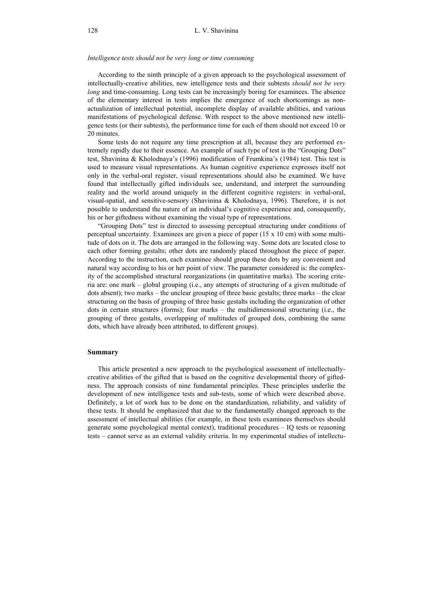#### *Intelligence tests should not be very long or time consuming*

According to the ninth principle of a given approach to the psychological assessment of intellectually-creative abilities, new intelligence tests and their subtests *should not be very long* and time-consuming. Long tests can be increasingly boring for examinees. The absence of the elementary interest in tests implies the emergence of such shortcomings as nonactualization of intellectual potential, incomplete display of available abilities, and various manifestations of psychological defense. With respect to the above mentioned new intelligence tests (or their subtests), the performance time for each of them should not exceed 10 or 20 minutes.

Some tests do not require any time prescription at all, because they are performed extremely rapidly due to their essence. An example of such type of test is the "Grouping Dots" test, Shavinina & Kholodnaya's (1996) modification of Frumkina's (1984) test. This test is used to measure visual representations. As human cognitive experience expresses itself not only in the verbal-oral register, visual representations should also be examined. We have found that intellectually gifted individuals see, understand, and interpret the surrounding reality and the world around uniquely in the different cognitive registers: in verbal-oral, visual-spatial, and sensitive-sensory (Shavinina & Kholodnaya, 1996). Therefore, it is not possible to understand the nature of an individual's cognitive experience and, consequently, his or her giftedness without examining the visual type of representations.

"Grouping Dots" test is directed to assessing perceptual structuring under conditions of perceptual uncertainty. Examinees are given a piece of paper (15 x 10 cm) with some multitude of dots on it. The dots are arranged in the following way. Some dots are located close to each other forming gestalts; other dots are randomly placed throughout the piece of paper. According to the instruction, each examinee should group these dots by any convenient and natural way according to his or her point of view. The parameter considered is: the complexity of the accomplished structural reorganizations (in quantitative marks). The scoring criteria are: one mark – global grouping (i.e., any attempts of structuring of a given multitude of dots absent); two marks – the unclear grouping of three basic gestalts; three marks – the clear structuring on the basis of grouping of three basic gestalts including the organization of other dots in certain structures (forms); four marks – the multidimensional structuring (i.e., the grouping of three gestalts, overlapping of multitudes of grouped dots, combining the same dots, which have already been attributed, to different groups).

#### **Summary**

This article presented a new approach to the psychological assessment of intellectuallycreative abilities of the gifted that is based on the cognitive developmental theory of giftedness. The approach consists of nine fundamental principles. These principles underlie the development of new intelligence tests and sub-tests, some of which were described above. Definitely, a lot of work has to be done on the standardization, reliability, and validity of these tests. It should be emphasized that due to the fundamentally changed approach to the assessment of intellectual abilities (for example, in these tests examinees themselves should generate some psychological mental context), traditional procedures – IQ tests or reasoning tests – cannot serve as an external validity criteria. In my experimental studies of intellectu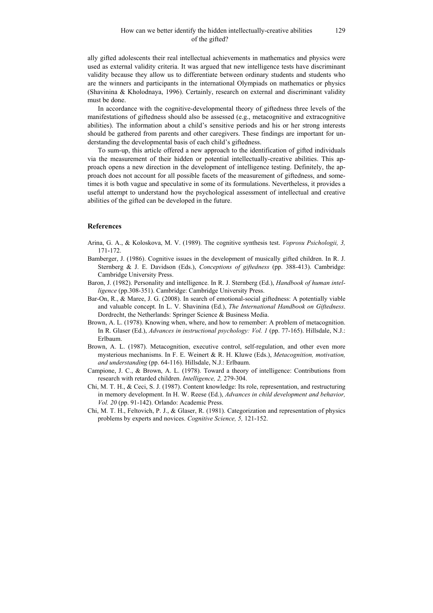ally gifted adolescents their real intellectual achievements in mathematics and physics were used as external validity criteria. It was argued that new intelligence tests have discriminant validity because they allow us to differentiate between ordinary students and students who are the winners and participants in the international Olympiads on mathematics or physics (Shavinina & Kholodnaya, 1996). Certainly, research on external and discriminant validity must be done.

In accordance with the cognitive-developmental theory of giftedness three levels of the manifestations of giftedness should also be assessed (e.g., metacognitive and extracognitive abilities). The information about a child's sensitive periods and his or her strong interests should be gathered from parents and other caregivers. These findings are important for understanding the developmental basis of each child's giftedness.

To sum-up, this article offered a new approach to the identification of gifted individuals via the measurement of their hidden or potential intellectually-creative abilities. This approach opens a new direction in the development of intelligence testing. Definitely, the approach does not account for all possible facets of the measurement of giftedness, and sometimes it is both vague and speculative in some of its formulations. Nevertheless, it provides a useful attempt to understand how the psychological assessment of intellectual and creative abilities of the gifted can be developed in the future.

## **References**

- Arina, G. A., & Koloskova, M. V. (1989). The cognitive synthesis test. *Voprosu Psichologii, 3,* 171-172.
- Bamberger, J. (1986). Cognitive issues in the development of musically gifted children. In R. J. Sternberg & J. E. Davidson (Eds.), *Conceptions of giftedness* (pp. 388-413). Cambridge: Cambridge University Press.
- Baron, J. (1982). Personality and intelligence. In R. J. Sternberg (Ed.), *Handbook of human intelligence* (pp.308-351). Cambridge: Cambridge University Press.
- Bar-On, R., & Maree, J. G. (2008). In search of emotional-social giftedness: A potentially viable and valuable concept. In L. V. Shavinina (Ed.), *The International Handbook on Giftedness*. Dordrecht, the Netherlands: Springer Science & Business Media.
- Brown, A. L. (1978). Knowing when, where, and how to remember: A problem of metacognition. In R. Glaser (Ed.), *Advances in instructional psychology: Vol. 1* (pp. 77-165). Hillsdale, N.J.: Erlbaum.
- Brown, A. L. (1987). Metacognition, executive control, self-regulation, and other even more mysterious mechanisms. In F. E. Weinert & R. H. Kluwe (Eds.), *Metacognition, motivation, and understanding* (pp. 64-116). Hillsdale, N.J.: Erlbaum.
- Campione, J. C., & Brown, A. L. (1978). Toward a theory of intelligence: Contributions from research with retarded children. *Intelligence, 2,* 279-304.
- Chi, M. T. H., & Ceci, S. J. (1987). Content knowledge: Its role, representation, and restructuring in memory development. In H. W. Reese (Ed.), *Advances in child development and behavior, Vol. 20* (pp. 91-142). Orlando: Academic Press.
- Chi, M. T. H., Feltovich, P. J., & Glaser, R. (1981). Categorization and representation of physics problems by experts and novices. *Cognitive Science, 5,* 121-152.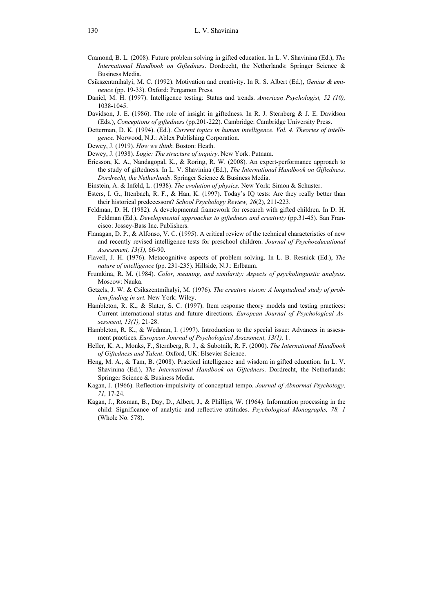- Cramond, B. L. (2008). Future problem solving in gifted education. In L. V. Shavinina (Ed.), *The International Handbook on Giftedness*. Dordrecht, the Netherlands: Springer Science & Business Media.
- Csikszentmihalyi, M. C. (1992). Motivation and creativity. In R. S. Albert (Ed.), *Genius & eminence* (pp. 19-33). Oxford: Pergamon Press.
- Daniel, M. H. (1997). Intelligence testing: Status and trends. *American Psychologist, 52 (10),*  1038-1045.
- Davidson, J. E. (1986). The role of insight in giftedness. In R. J. Sternberg & J. E. Davidson (Eds.), *Conceptions of giftedness* (pp.201-222). Cambridge: Cambridge University Press.
- Detterman, D. K. (1994). (Ed.). *Current topics in human intelligence. Vol. 4. Theories of intelligence.* Norwood, N.J.: Ablex Publishing Corporation.
- Dewey, J. (1919). *How we think*. Boston: Heath.
- Dewey, J. (1938). *Logic: The structure of inquiry*. New York: Putnam.
- Ericsson, K. A., Nandagopal, K., & Roring, R. W. (2008). An expert-performance approach to the study of giftedness. In L. V. Shavinina (Ed.), *The International Handbook on Giftedness. Dordrecht, the Netherlands*. Springer Science & Business Media.
- Einstein, A. & Infeld, L. (1938). *The evolution of physics.* New York: Simon & Schuster.
- Esters, I. G., Ittenbach, R. F., & Han, K. (1997). Today's IQ tests: Are they really better than their historical predecessors? *School Psychology Review, 26*(2), 211-223.
- Feldman, D. H. (1982). A developmental framework for research with gifted children. In D. H. Feldman (Ed.), *Developmental approaches to giftedness and creativity* (pp.31-45). San Francisco: Jossey-Bass Inc. Publishers.
- Flanagan, D. P., & Alfonso, V. C. (1995). A critical review of the technical characteristics of new and recently revised intelligence tests for preschool children. *Journal of Psychoeducational Assessment, 13(1),* 66-90.
- Flavell, J. H. (1976). Metacognitive aspects of problem solving. In L. B. Resnick (Ed.), *The nature of intelligence* (pp. 231-235). Hillside, N.J.: Erlbaum.
- Frumkina, R. M. (1984). *Color, meaning, and similarity: Aspects of psycholinguistic analysis*. Moscow: Nauka.
- Getzels, J. W. & Csikszentmihalyi, M. (1976). *The creative vision: A longitudinal study of problem-finding in art.* New York: Wiley.
- Hambleton, R. K., & Slater, S. C. (1997). Item response theory models and testing practices: Current international status and future directions. *European Journal of Psychological Assessment, 13(1),* 21-28.
- Hambleton, R. K., & Wedman, I. (1997). Introduction to the special issue: Advances in assessment practices. *European Journal of Psychological Assessment, 13(1),* 1.
- Heller, K. A., Monks, F., Sternberg, R. J., & Subotnik, R. F. (2000). *The International Handbook of Giftedness and Talent*. Oxford, UK: Elsevier Science.
- Heng, M. A., & Tam, B. (2008). Practical intelligence and wisdom in gifted education. In L. V. Shavinina (Ed.), *The International Handbook on Giftedness*. Dordrecht, the Netherlands: Springer Science & Business Media.
- Kagan, J. (1966). Reflection-impulsivity of conceptual tempo. *Journal of Abnormal Psychology, 71,* 17-24.
- Kagan, J., Rosman, B., Day, D., Albert, J., & Phillips, W. (1964). Information processing in the child: Significance of analytic and reflective attitudes. *Psychological Monographs, 78, 1* (Whole No. 578).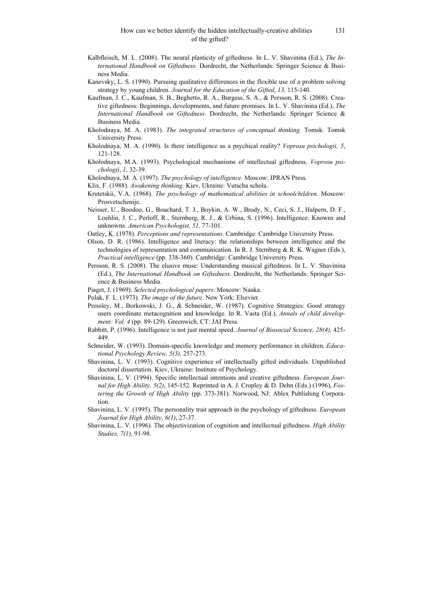- Kalbfleisch, M. L. (2008). The neural plasticity of giftedness. In L. V. Shavinina (Ed.), *The International Handbook on Giftedness*. Dordrecht, the Netherlands: Springer Science & Business Media.
- Kanevsky, L. S. (1990). Pursuing qualitative differences in the flexible use of a problem solving strategy by young children. *Journal for the Education of the Gifted*, *13,* 115-140.
- Kaufman, J. C., Kaufman, S. B., Beghetto, R. A., Burgess, S. A., & Persson, R. S. (2008). Creative giftedness: Beginnings, developments, and future promises. In L. V. Shavinina (Ed.), *The International Handbook on Giftedness*. Dordrecht, the Netherlands: Springer Science & Business Media.
- Kholodnaya, M. A. (1983). *The integrated structures of conceptual thinking.* Tomsk: Tomsk University Press.
- Kholodnaya, M. A. (1990). Is there intelligence as a psychical reality? *Voprosu psichologii, 5*, 121-128.
- Kholodnaya, M.A. (1993). Psychological mechanisms of intellectual giftedness. *Voprosu psichologii*, *1*, 32-39.
- Kholodnaya, M. A. (1997). *The psychology of intelligence.* Moscow: IPRAN Press.
- Klix, F. (1988). *Awakening thinking*. Kiev, Ukraine: Vutscha schola.
- Krutetskii, V.A. (1968). *The psychology of mathematical abilities in schoolchildren.* Moscow: Prosvetschenije.
- Neisser, U., Boodoo, G., Bouchard, T. J., Boykin, A. W., Brody, N., Ceci, S. J., Halpern, D. F., Loehlin, J. C., Perloff, R., Sternberg, R. J., & Urbina, S. (1996). Intelligence: Knowns and unknowns. *American Psychologist, 51,* 77-101.
- Oatley, K. (1978). *Perceptions and representations*. Cambridge: Cambridge University Press.
- Olson, D. R. (1986). Intelligence and literacy: the relationships between intelligence and the technologies of representation and communication. In R. J. Sternberg & R. K. Wagner (Eds.), *Practical intelligence* (pp. 338-360). Cambridge: Cambridge University Press.
- Persson, R. S. (2008). The elusive muse: Understanding musical giftedness. In L. V. Shavinina (Ed.), *The International Handbook on Giftedness*. Dordrecht, the Netherlands: Springer Science & Business Media.
- Piaget, J. (1969). *Selected psychological papers*. Moscow: Nauka.
- Polak, F. L. (1973). *The image of the future*. New York: Elsevier.
- Pressley, M., Borkowski, J. G., & Schneider, W. (1987). Cognitive Strategies: Good strategy users coordinate metacognition and knowledge. In R. Vasta (Ed.), *Annals of child development: Vol. 4* (pp. 89-129). Greenwich, CT: JAI Press.
- Rabbitt, P. (1996). Intelligence is not just mental speed. *Journal of Biosocial Science, 28(4),* 425- 449.
- Schneider, W. (1993). Domain-specific knowledge and memory performance in children. *Educational Psychology Review, 5(3),* 257-273.
- Shavinina, L. V. (1993). Cognitive experience of intellectually gifted individuals. Unpublished doctoral dissertation. Kiev, Ukraine: Institute of Psychology.
- Shavinina, L. V. (1994). Specific intellectual intentions and creative giftedness. *European Journal for High Ability, 5(2)*, 145-152. Reprinted in A. J. Cropley & D. Dehn (Eds.) (1996), *Fostering the Growth of High Ability* (pp. 373-381). Norwood, NJ: Ablex Publishing Corporation.
- Shavinina, L. V. (1995). The personality trait approach in the psychology of giftedness. *European Journal for High Ability, 6(1)*, 27-37.
- Shavinina, L. V. (1996). The objectivization of cognition and intellectual giftedness. *High Ability Studies, 7(1)*, 91-98.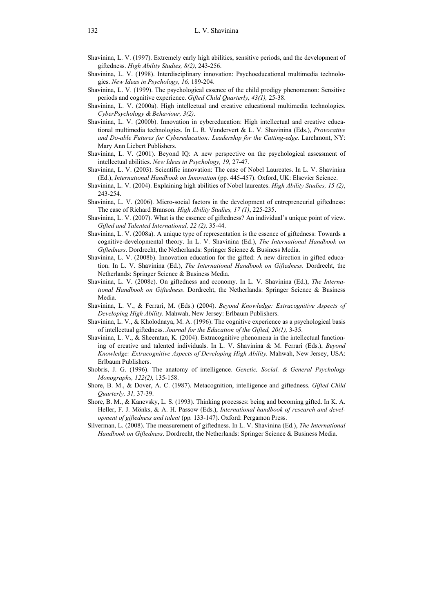- Shavinina, L. V. (1997). Extremely early high abilities, sensitive periods, and the development of giftedness. *High Ability Studies, 8(2)*, 243-256.
- Shavinina, L. V. (1998). Interdisciplinary innovation: Psychoeducational multimedia technologies. *New Ideas in Psychology, 16,* 189-204.
- Shavinina, L. V. (1999). The psychological essence of the child prodigy phenomenon: Sensitive periods and cognitive experience. *Gifted Child Quarterly*, *43(1),* 25-38.
- Shavinina, L. V. (2000a). High intellectual and creative educational multimedia technologies. *CyberPsychology & Behaviour, 3(2)*.
- Shavinina, L. V. (2000b). Innovation in cybereducation: High intellectual and creative educational multimedia technologies. In L. R. Vandervert & L. V. Shavinina (Eds.), *Provocative and Do-able Futures for Cybereducation: Leadership for the Cutting-edge*. Larchmont, NY: Mary Ann Liebert Publishers.
- Shavinina, L. V. (2001). Beyond IQ: A new perspective on the psychological assessment of intellectual abilities. *New Ideas in Psychology, 19,* 27-47.
- Shavinina, L. V. (2003). Scientific innovation: The case of Nobel Laureates. In L. V. Shavinina (Ed.), *International Handbook on Innovation* (pp. 445-457). Oxford, UK: Elsevier Science.
- Shavinina, L. V. (2004). Explaining high abilities of Nobel laureates. *High Ability Studies, 15 (2)*, 243-254.
- Shavinina, L. V. (2006). Micro-social factors in the development of entrepreneurial giftedness: The case of Richard Branson. *High Ability Studies, 17 (1)*, 225-235.
- Shavinina, L. V. (2007). What is the essence of giftedness? An individual's unique point of view. *Gifted and Talented International, 22 (2),* 35-44.
- Shavinina, L. V. (2008a). A unique type of representation is the essence of giftedness: Towards a cognitive-developmental theory. In L. V. Shavinina (Ed.), *The International Handbook on Giftedness*. Dordrecht, the Netherlands: Springer Science & Business Media.
- Shavinina, L. V. (2008b). Innovation education for the gifted: A new direction in gifted education. In L. V. Shavinina (Ed.), *The International Handbook on Giftedness*. Dordrecht, the Netherlands: Springer Science & Business Media.
- Shavinina, L. V. (2008c). On giftedness and economy. In L. V. Shavinina (Ed.), *The International Handbook on Giftedness*. Dordrecht, the Netherlands: Springer Science & Business Media.
- Shavinina, L. V., & Ferrari, M. (Eds.) (2004). *Beyond Knowledge: Extracognitive Aspects of Developing High Ability.* Mahwah, New Jersey: Erlbaum Publishers.
- Shavinina, L. V., & Kholodnaya, M. A. (1996). The cognitive experience as a psychological basis of intellectual giftedness. *Journal for the Education of the Gifted, 20(1),* 3-35.
- Shavinina, L. V., & Sheeratan, K. (2004). Extracognitive phenomena in the intellectual functioning of creative and talented individuals. In L. V. Shavinina & M. Ferrari (Eds.), *Beyond Knowledge: Extracognitive Aspects of Developing High Ability.* Mahwah, New Jersey, USA: Erlbaum Publishers.
- Shobris, J. G. (1996). The anatomy of intelligence. *Genetic, Social, & General Psychology Monographs, 122(2),* 135-158.
- Shore, B. M., & Dover, A. C. (1987). Metacognition, intelligence and giftedness. *Gifted Child Quarterly, 31,* 37-39.
- Shore, B. M., & Kanevsky, L. S. (1993). Thinking processes: being and becoming gifted. In K. A. Heller, F. J. Mönks, & A. H. Passow (Eds.), *International handbook of research and development of giftedness and talent* (pp*.* 133-147). Oxford: Pergamon Press.
- Silverman, L. (2008). The measurement of giftedness. In L. V. Shavinina (Ed.), *The International Handbook on Giftedness*. Dordrecht, the Netherlands: Springer Science & Business Media.